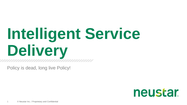# **Intelligent Service Delivery**

Policy is dead, long live Policy!

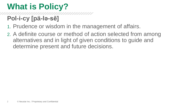## **What is Policy?**

#### **Pol-i-cy [pä-lə-sē]**

- 1. Prudence or wisdom in the management of affairs.
- 2. A definite course or method of action selected from among alternatives and in light of given conditions to guide and determine present and future decisions.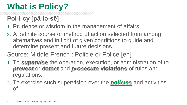### **What is Policy?**

#### **Pol-i-cy [pä-lə-sē]**

- 1. Prudence or wisdom in the management of affairs.
- 2. A definite course or method of action selected from among alternatives and in light of given conditions to guide and determine present and future decisions.
- Source: Middle French : Policie or Police [en]
- 1. To *supervise* the operation, execution, or administration of to *prevent* or *detect* and *prosecute violations* of rules and regulations.
- 2. To exercise such supervision over the *[policies](http://www.merriam-webster.com/dictionary/policies)* and activities of….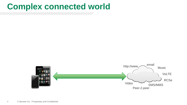#### **Complex connected world**

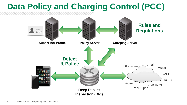#### **Data Policy and Charging Control (PCC) Rules and** John Doe<br>1515 Main St<br>Flate, Va, 12345 **Regulations** john.dr.eg.mar<br>1735 i de 4321 **Subscriber Profile Figure 2 Policy Server Charging Server Policy ServerDetect & Police** email http://www. Music VoLTE RCSe Video SMS/MMS Peer-2-peer **Deep Packet Inspection (DPI)**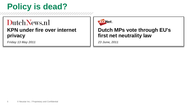### **Policy is dead?**

#### DutchNews.nl **KPN under fire over internet privacy**

*Friday 13 May 2011*



#### **Dutch MPs vote through EU's first net neutrality law**

*23 June, 2011*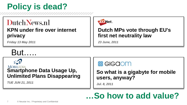### **Policy is dead?**

#### Dutch News.nl

#### **KPN under fire over internet privacy**

*Friday 13 May 2011*



#### **Dutch MPs vote through EU's first net neutrality law**

*23 June, 2011*

### But…..

#### **MOBILEDIA Smartphone Data Usage Up, Unlimited Plans Disappearing**

*TUE JUN 21, 2011*



#### **So what is a gigabyte for mobile users, anyway?**

*Jul. 8, 2011*

### **…So how to add value?**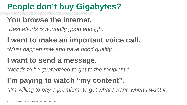## **People don't buy Gigabytes?**

#### **You browse the internet.**

*"Best efforts is normally good enough."*

#### **I want to make an important voice call.**

*"Must happen now and have good quality."*

#### **I want to send a message.**

*"Needs to be guaranteed to get to the recipient."*

### **I'm paying to watch "my content".**

*"I'm willing to pay a premium, to get what I want, when I want it."*